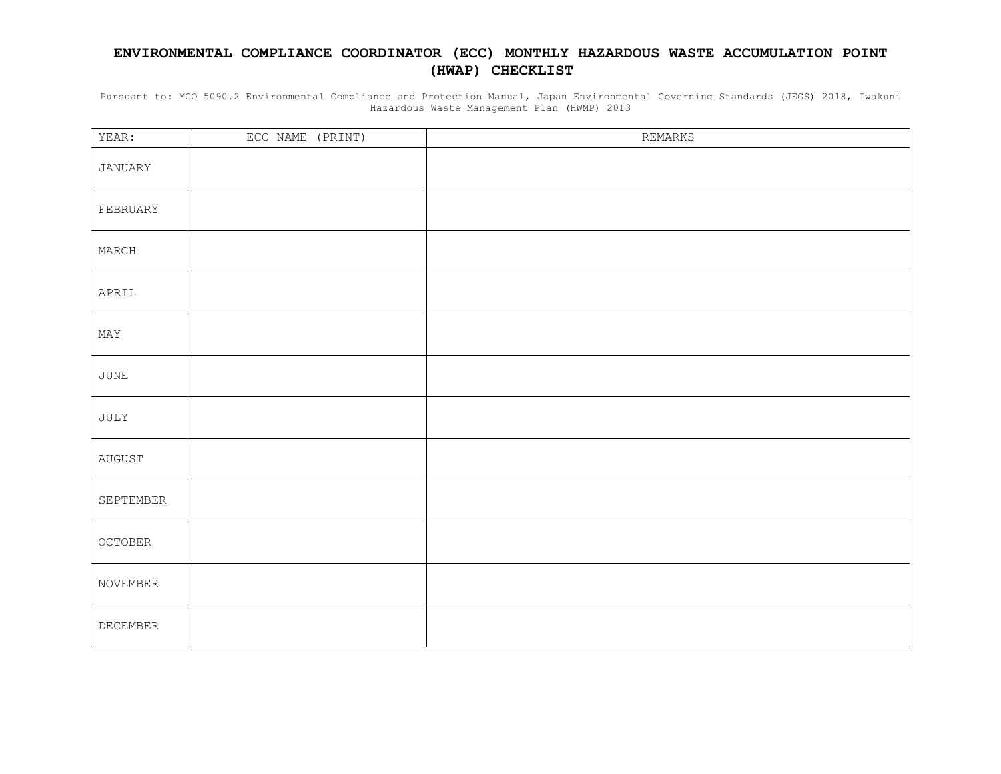## **ENVIRONMENTAL COMPLIANCE COORDINATOR (ECC) MONTHLY HAZARDOUS WASTE ACCUMULATION POINT (HWAP) CHECKLIST**

Pursuant to: MCO 5090.2 Environmental Compliance and Protection Manual, Japan Environmental Governing Standards (JEGS) 2018, Iwakuni Hazardous Waste Management Plan (HWMP) 2013

| YEAR:           | ECC NAME (PRINT) | REMARKS |
|-----------------|------------------|---------|
| JANUARY         |                  |         |
| FEBRUARY        |                  |         |
| $\tt {MARCH}$   |                  |         |
| APRIL           |                  |         |
| MAY             |                  |         |
| $\mathtt{JUNE}$ |                  |         |
| $\mathtt{JULY}$ |                  |         |
| ${\tt AUGUST}$  |                  |         |
| SEPTEMBER       |                  |         |
| OCTOBER         |                  |         |
| NOVEMBER        |                  |         |
| DECEMBER        |                  |         |